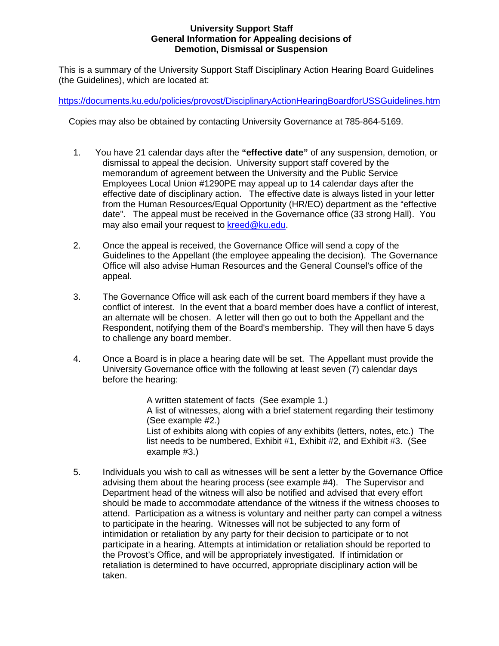# **University Support Staff General Information for Appealing decisions of Demotion, Dismissal or Suspension**

This is a summary of the University Support Staff Disciplinary Action Hearing Board Guidelines (the Guidelines), which are located at:

<https://documents.ku.edu/policies/provost/DisciplinaryActionHearingBoardforUSSGuidelines.htm>

Copies may also be obtained by contacting University Governance at 785-864-5169.

- 1. You have 21 calendar days after the **"effective date"** of any suspension, demotion, or dismissal to appeal the decision. University support staff covered by the memorandum of agreement between the University and the Public Service Employees Local Union #1290PE may appeal up to 14 calendar days after the effective date of disciplinary action. The effective date is always listed in your letter from the Human Resources/Equal Opportunity (HR/EO) department as the "effective date". The appeal must be received in the Governance office (33 strong Hall). You may also email your request to [kreed@ku.edu.](mailto:kreed@ku.edu)
- 2. Once the appeal is received, the Governance Office will send a copy of the Guidelines to the Appellant (the employee appealing the decision). The Governance Office will also advise Human Resources and the General Counsel's office of the appeal.
- 3. The Governance Office will ask each of the current board members if they have a conflict of interest. In the event that a board member does have a conflict of interest, an alternate will be chosen. A letter will then go out to both the Appellant and the Respondent, notifying them of the Board's membership. They will then have 5 days to challenge any board member.
- 4. Once a Board is in place a hearing date will be set. The Appellant must provide the University Governance office with the following at least seven (7) calendar days before the hearing:

A written statement of facts (See example 1.) A list of witnesses, along with a brief statement regarding their testimony (See example #2.) List of exhibits along with copies of any exhibits (letters, notes, etc.) The list needs to be numbered, Exhibit #1, Exhibit #2, and Exhibit #3. (See example #3.)

5. Individuals you wish to call as witnesses will be sent a letter by the Governance Office advising them about the hearing process (see example #4). The Supervisor and Department head of the witness will also be notified and advised that every effort should be made to accommodate attendance of the witness if the witness chooses to attend. Participation as a witness is voluntary and neither party can compel a witness to participate in the hearing. Witnesses will not be subjected to any form of intimidation or retaliation by any party for their decision to participate or to not participate in a hearing. Attempts at intimidation or retaliation should be reported to the Provost's Office, and will be appropriately investigated. If intimidation or retaliation is determined to have occurred, appropriate disciplinary action will be taken.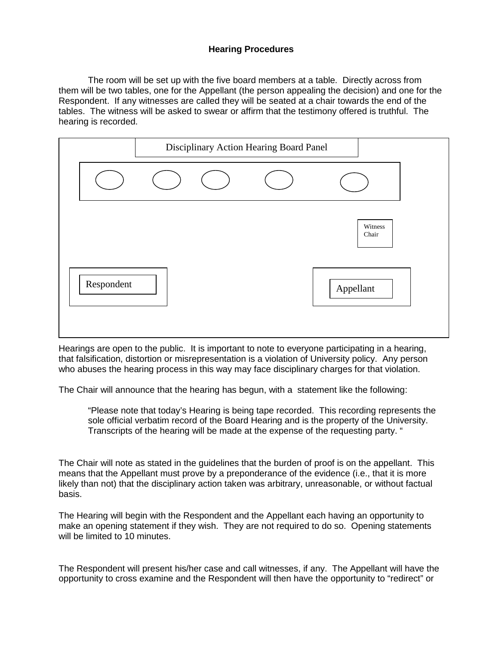# **Hearing Procedures**

The room will be set up with the five board members at a table. Directly across from them will be two tables, one for the Appellant (the person appealing the decision) and one for the Respondent. If any witnesses are called they will be seated at a chair towards the end of the tables. The witness will be asked to swear or affirm that the testimony offered is truthful. The hearing is recorded.

| Respondent |  | Witness<br>Chair<br>Appellant |
|------------|--|-------------------------------|

Hearings are open to the public. It is important to note to everyone participating in a hearing, that falsification, distortion or misrepresentation is a violation of University policy. Any person who abuses the hearing process in this way may face disciplinary charges for that violation.

The Chair will announce that the hearing has begun, with a statement like the following:

"Please note that today's Hearing is being tape recorded. This recording represents the sole official verbatim record of the Board Hearing and is the property of the University. Transcripts of the hearing will be made at the expense of the requesting party. "

The Chair will note as stated in the guidelines that the burden of proof is on the appellant. This means that the Appellant must prove by a preponderance of the evidence (i.e., that it is more likely than not) that the disciplinary action taken was arbitrary, unreasonable, or without factual basis.

The Hearing will begin with the Respondent and the Appellant each having an opportunity to make an opening statement if they wish. They are not required to do so. Opening statements will be limited to 10 minutes.

The Respondent will present his/her case and call witnesses, if any. The Appellant will have the opportunity to cross examine and the Respondent will then have the opportunity to "redirect" or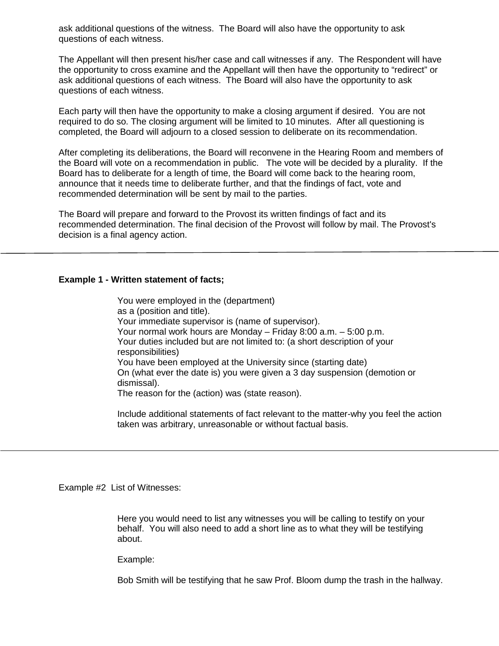ask additional questions of the witness. The Board will also have the opportunity to ask questions of each witness.

The Appellant will then present his/her case and call witnesses if any. The Respondent will have the opportunity to cross examine and the Appellant will then have the opportunity to "redirect" or ask additional questions of each witness. The Board will also have the opportunity to ask questions of each witness.

Each party will then have the opportunity to make a closing argument if desired. You are not required to do so. The closing argument will be limited to 10 minutes. After all questioning is completed, the Board will adjourn to a closed session to deliberate on its recommendation.

After completing its deliberations, the Board will reconvene in the Hearing Room and members of the Board will vote on a recommendation in public. The vote will be decided by a plurality. If the Board has to deliberate for a length of time, the Board will come back to the hearing room, announce that it needs time to deliberate further, and that the findings of fact, vote and recommended determination will be sent by mail to the parties.

The Board will prepare and forward to the Provost its written findings of fact and its recommended determination. The final decision of the Provost will follow by mail. The Provost's decision is a final agency action.

### **Example 1 - Written statement of facts;**

You were employed in the (department) as a (position and title). Your immediate supervisor is (name of supervisor). Your normal work hours are Monday – Friday 8:00 a.m. – 5:00 p.m. Your duties included but are not limited to: (a short description of your responsibilities) You have been employed at the University since (starting date) On (what ever the date is) you were given a 3 day suspension (demotion or dismissal). The reason for the (action) was (state reason).

Include additional statements of fact relevant to the matter-why you feel the action taken was arbitrary, unreasonable or without factual basis.

Example #2 List of Witnesses:

Here you would need to list any witnesses you will be calling to testify on your behalf. You will also need to add a short line as to what they will be testifying about.

Example:

Bob Smith will be testifying that he saw Prof. Bloom dump the trash in the hallway.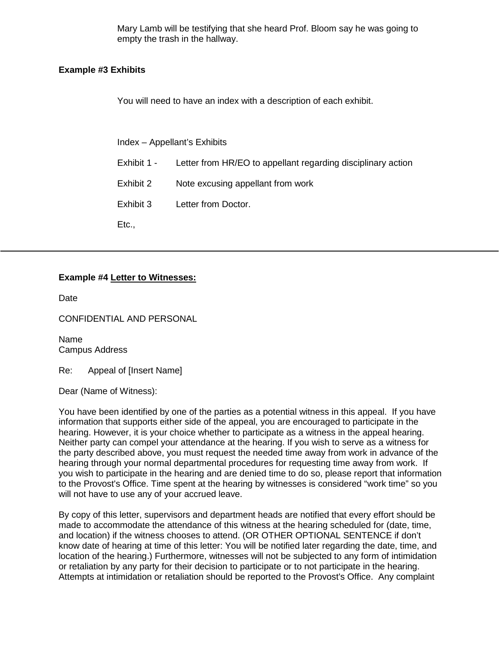Mary Lamb will be testifying that she heard Prof. Bloom say he was going to empty the trash in the hallway.

## **Example #3 Exhibits**

You will need to have an index with a description of each exhibit.

Index – Appellant's Exhibits

- Exhibit 1 Letter from HR/EO to appellant regarding disciplinary action
- Exhibit 2 Note excusing appellant from work
- Exhibit 3 Letter from Doctor.

Etc.,

## **Example #4 Letter to Witnesses:**

Date

CONFIDENTIAL AND PERSONAL

Name Campus Address

Re: Appeal of [Insert Name]

Dear (Name of Witness):

You have been identified by one of the parties as a potential witness in this appeal. If you have information that supports either side of the appeal, you are encouraged to participate in the hearing. However, it is your choice whether to participate as a witness in the appeal hearing. Neither party can compel your attendance at the hearing. If you wish to serve as a witness for the party described above, you must request the needed time away from work in advance of the hearing through your normal departmental procedures for requesting time away from work. If you wish to participate in the hearing and are denied time to do so, please report that information to the Provost's Office. Time spent at the hearing by witnesses is considered "work time" so you will not have to use any of your accrued leave.

By copy of this letter, supervisors and department heads are notified that every effort should be made to accommodate the attendance of this witness at the hearing scheduled for (date, time, and location) if the witness chooses to attend. (OR OTHER OPTIONAL SENTENCE if don't know date of hearing at time of this letter: You will be notified later regarding the date, time, and location of the hearing.) Furthermore, witnesses will not be subjected to any form of intimidation or retaliation by any party for their decision to participate or to not participate in the hearing. Attempts at intimidation or retaliation should be reported to the Provost's Office. Any complaint